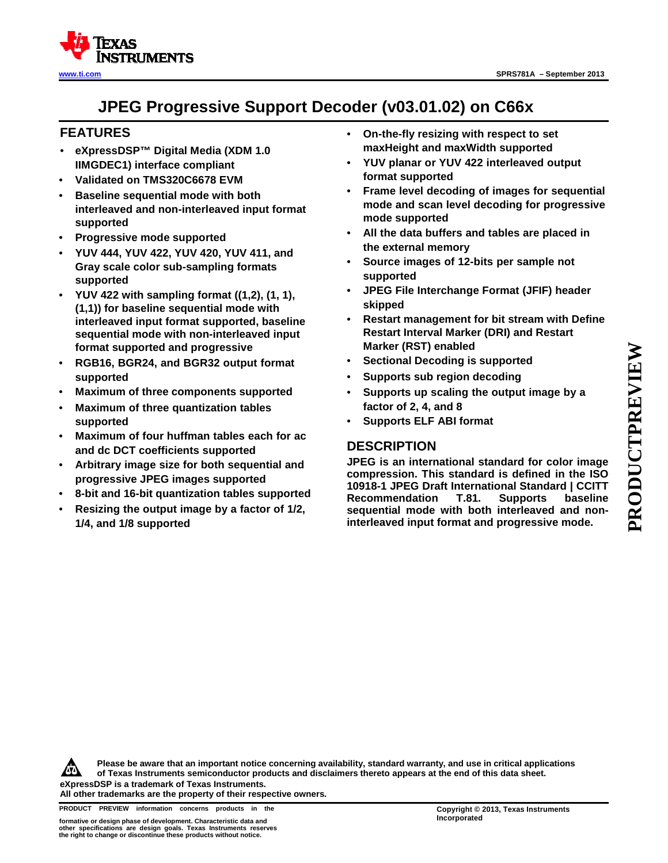

# **JPEG Progressive Support Decoder (v03.01.02) on C66x**

# **FEATURES**

- **eXpressDSP™ Digital Media (XDM 1.0 IIMGDEC1) interface compliant**
- **Validated on TMS320C6678 EVM**
- **Baseline sequential mode with both interleaved and non-interleaved input format supported**
- **Progressive mode supported**
- **YUV 444, YUV 422, YUV 420, YUV 411, and Gray scale color sub-sampling formats supported**
- **YUV 422 with sampling format ((1,2), (1, 1), (1,1)) for baseline sequential mode with interleaved input format supported, baseline sequential mode with non-interleaved input format supported and progressive**
- **RGB16, BGR24, and BGR32 output format supported**
- **Maximum of three components supported**
- **Maximum of three quantization tables supported**
- **Maximum of four huffman tables each for ac and dc DCT coefficients supported**
- **Arbitrary image size for both sequential and progressive JPEG images supported**
- **8-bit and 16-bit quantization tables supported**
- **Resizing the output image by a factor of 1/2, 1/4, and 1/8 supported**
- **On-the-fly resizing with respect to set maxHeight and maxWidth supported**
- **YUV planar or YUV 422 interleaved output format supported**
- **Frame level decoding of images for sequential mode and scan level decoding for progressive mode supported**
- **All the data buffers and tables are placed in the external memory**
- **Source images of 12-bits per sample not supported**
- **JPEG File Interchange Format (JFIF) header skipped**
- **Restart management for bit stream with Define Restart Interval Marker (DRI) and Restart Marker (RST) enabled**
- **Sectional Decoding is supported**
- **Supports sub region decoding**
- **Supports up scaling the output image by a factor of 2, 4, and 8**
- **Supports ELF ABI format**

# **DESCRIPTION**

**JPEG is an international standard for color image compression. This standard is defined in the ISO 10918-1 JPEG Draft International Standard | CCITT Recommendation T.81. Supports baseline sequential mode with both interleaved and noninterleaved input format and progressive mode.**

**PRODUCTPREVIEW** PRODUCTPREVIEW

**Please be aware that an important notice concerning availability, standard warranty, and use in critical applications**  ÆN **of Texas Instruments semiconductor products and disclaimers thereto appears at the end of this data sheet. eXpressDSP is a trademark of Texas Instruments.**

**All other trademarks are the property of their respective owners.**

**PRODUCT PREVIEW information concerns products in the CODY COPYright © 2013, Texas Instruments**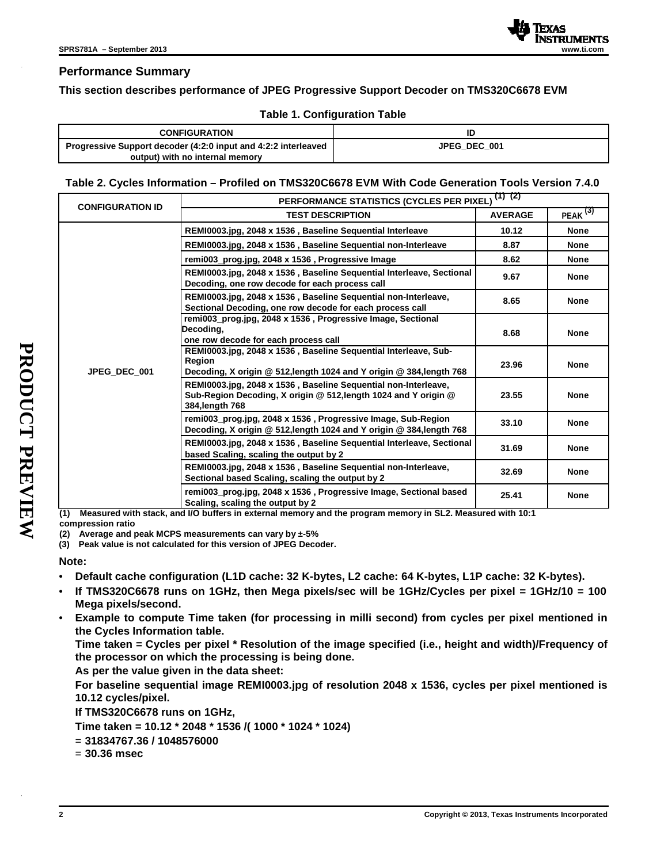

# **Performance Summary**

### **This section describes performance of JPEG Progressive Support Decoder on TMS320C6678 EVM**

### **Table 1. Configuration Table**

| <b>CONFIGURATION</b>                                           | ID           |
|----------------------------------------------------------------|--------------|
| Progressive Support decoder (4:2:0 input and 4:2:2 interleaved | JPEG DEC 001 |
| output) with no internal memory                                |              |

# **Table 2. Cycles Information – Profiled on TMS320C6678 EVM With Code Generation Tools Version 7.4.0**

|                        |                         | (1) (2)<br>PERFORMANCE STATISTICS (CYCLES PER PIXEL)                                                                                                 |                |               |  |
|------------------------|-------------------------|------------------------------------------------------------------------------------------------------------------------------------------------------|----------------|---------------|--|
|                        | <b>CONFIGURATION ID</b> | <b>TEST DESCRIPTION</b>                                                                                                                              | <b>AVERAGE</b> | PEAK $^{(3)}$ |  |
|                        |                         | REMI0003.jpg, 2048 x 1536, Baseline Sequential Interleave                                                                                            | 10.12          | <b>None</b>   |  |
|                        |                         | REMI0003.jpg, 2048 x 1536, Baseline Sequential non-Interleave                                                                                        | 8.87           | <b>None</b>   |  |
|                        |                         | remi003_prog.jpg, 2048 x 1536, Progressive Image                                                                                                     | 8.62           | <b>None</b>   |  |
|                        |                         | REMI0003.jpg, 2048 x 1536, Baseline Sequential Interleave, Sectional<br>Decoding, one row decode for each process call                               | 9.67           | <b>None</b>   |  |
|                        | JPEG DEC 001            | REMI0003.jpg, 2048 x 1536, Baseline Sequential non-Interleave,<br>Sectional Decoding, one row decode for each process call                           | 8.65           | <b>None</b>   |  |
| PRODUCT<br><b>PREV</b> |                         | remi003_prog.jpg, 2048 x 1536, Progressive Image, Sectional<br>Decodina.<br>one row decode for each process call                                     | 8.68           | <b>None</b>   |  |
|                        |                         | REMI0003.jpg, 2048 x 1536, Baseline Sequential Interleave, Sub-<br>Region<br>Decoding, X origin @ 512, length 1024 and Y origin @ 384, length 768    | 23.96          | <b>None</b>   |  |
|                        |                         | REMI0003.jpg, 2048 x 1536, Baseline Sequential non-Interleave,<br>Sub-Region Decoding, X origin @ 512, length 1024 and Y origin @<br>384, length 768 | 23.55          | <b>None</b>   |  |
|                        |                         | remi003_prog.jpg, 2048 x 1536, Progressive Image, Sub-Region<br>Decoding, X origin @ 512, length 1024 and Y origin @ 384, length 768                 | 33.10          | <b>None</b>   |  |
|                        |                         | REMI0003.jpg, 2048 x 1536, Baseline Sequential Interleave, Sectional<br>based Scaling, scaling the output by 2                                       | 31.69          | <b>None</b>   |  |
|                        |                         | REMI0003.jpg, 2048 x 1536, Baseline Sequential non-Interleave,<br>Sectional based Scaling, scaling the output by 2                                   | 32.69          | <b>None</b>   |  |
|                        |                         | remi003 prog.jpg, 2048 x 1536, Progressive Image, Sectional based<br>Scaling, scaling the output by 2                                                | 25.41          | <b>None</b>   |  |

**(1) Measured with stack, and I/O buffers in external memory and the program memory in SL2. Measured with 10:1** 

**compression ratio**

**(2) Average and peak MCPS measurements can vary by ±-5%**

**(3) Peak value is not calculated for this version of JPEG Decoder.**

#### **Note:**

- **Default cache configuration (L1D cache: 32 K-bytes, L2 cache: 64 K-bytes, L1P cache: 32 K-bytes).**
- **If TMS320C6678 runs on 1GHz, then Mega pixels/sec will be 1GHz/Cycles per pixel = 1GHz/10 = 100 Mega pixels/second.**
- **Example to compute Time taken (for processing in milli second) from cycles per pixel mentioned in the Cycles Information table.**

**Time taken = Cycles per pixel \* Resolution of the image specified (i.e., height and width)/Frequency of the processor on which the processing is being done.** 

**As per the value given in the data sheet:** 

**For baseline sequential image REMI0003.jpg of resolution 2048 x 1536, cycles per pixel mentioned is 10.12 cycles/pixel.** 

**If TMS320C6678 runs on 1GHz,** 

**Time taken = 10.12 \* 2048 \* 1536 /( 1000 \* 1024 \* 1024)** 

- = **31834767.36 / 1048576000**
- = **30.36 msec**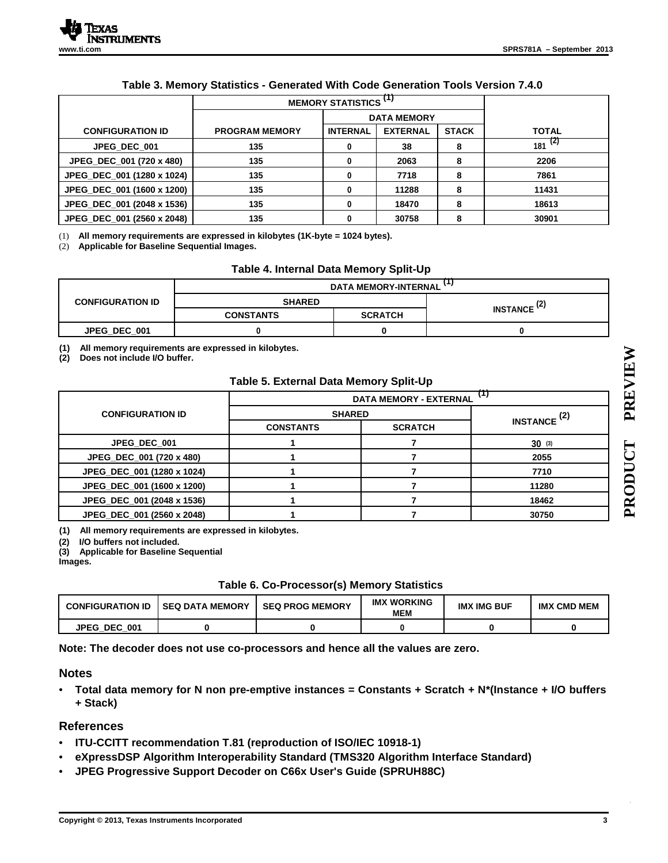|                            | MEMORY STATISTICS <sup>(1)</sup> |                 |                    |              |              |
|----------------------------|----------------------------------|-----------------|--------------------|--------------|--------------|
|                            |                                  |                 | <b>DATA MEMORY</b> |              |              |
| <b>CONFIGURATION ID</b>    | <b>PROGRAM MEMORY</b>            | <b>INTERNAL</b> | <b>EXTERNAL</b>    | <b>STACK</b> | <b>TOTAL</b> |
| JPEG DEC 001               | 135                              | 0               | 38                 | 8            | $181^{(2)}$  |
| JPEG_DEC_001 (720 x 480)   | 135                              |                 | 2063               | 8            | 2206         |
| JPEG_DEC_001 (1280 x 1024) | 135                              |                 | 7718               | 8            | 7861         |
| JPEG_DEC_001 (1600 x 1200) | 135                              | 0               | 11288              | 8            | 11431        |
| JPEG DEC 001 (2048 x 1536) | 135                              |                 | 18470              | 8            | 18613        |
| JPEG DEC 001 (2560 x 2048) | 135                              |                 | 30758              |              | 30901        |

# **Table 3. Memory Statistics - Generated With Code Generation Tools Version 7.4.0**

(1) **All memory requirements are expressed in kilobytes (1K-byte = 1024 bytes).** 

(2) **Applicable for Baseline Sequential Images.** 

### **Table 4. Internal Data Memory Split-Up**

|                         | DATA MEMORY-INTERNAL ' ' |                |                               |  |
|-------------------------|--------------------------|----------------|-------------------------------|--|
| <b>CONFIGURATION ID</b> | <b>SHARED</b>            |                | <b>INSTANCE<sup>(2)</sup></b> |  |
|                         | <b>CONSTANTS</b>         | <b>SCRATCH</b> |                               |  |
| JPEG DEC 001            |                          |                |                               |  |

**(1) All memory requirements are expressed in kilobytes.**

**(2) Does not include I/O buffer.**

#### **Table 5. External Data Memory Split-Up**

| u<br><b>DATA MEMORY - EXTERNAL</b> |                |                               |  |
|------------------------------------|----------------|-------------------------------|--|
| <b>SHARED</b>                      |                |                               |  |
| <b>CONSTANTS</b>                   | <b>SCRATCH</b> | <b>INSTANCE<sup>(2)</sup></b> |  |
|                                    |                | $30^{(3)}$                    |  |
|                                    |                | 2055                          |  |
|                                    |                | 7710                          |  |
|                                    |                | 11280                         |  |
|                                    |                | 18462                         |  |
|                                    |                | 30750                         |  |
|                                    |                |                               |  |

**(1) All memory requirements are expressed in kilobytes.**

**(2) I/O buffers not included.**

**(3) Applicable for Baseline Sequential** 

**Images.**

| Table 6. Co-Processor(s) Memory Statistics |  |
|--------------------------------------------|--|
|                                            |  |

| <b>CONFIGURATION ID</b> | <b>SEQ DATA MEMORY</b> | <b>SEQ PROG MEMORY</b> | <b>IMX WORKING</b><br><b>MEM</b> | <b>IMX IMG BUF</b> | <b>IMX</b><br>: СМD МЕМ |
|-------------------------|------------------------|------------------------|----------------------------------|--------------------|-------------------------|
| <b>JPEG DEC</b><br>001  |                        |                        |                                  |                    |                         |

**Note: The decoder does not use co-processors and hence all the values are zero.**

### **Notes**

• **Total data memory for N non pre-emptive instances = Constants + Scratch + N\*(Instance + I/O buffers + Stack)** 

### **References**

- **ITU-CCITT recommendation T.81 (reproduction of ISO/IEC 10918-1)**
- **eXpressDSP Algorithm Interoperability Standard (TMS320 Algorithm Interface Standard)**
- **JPEG Progressive Support Decoder on C66x User's Guide (SPRUH88C)**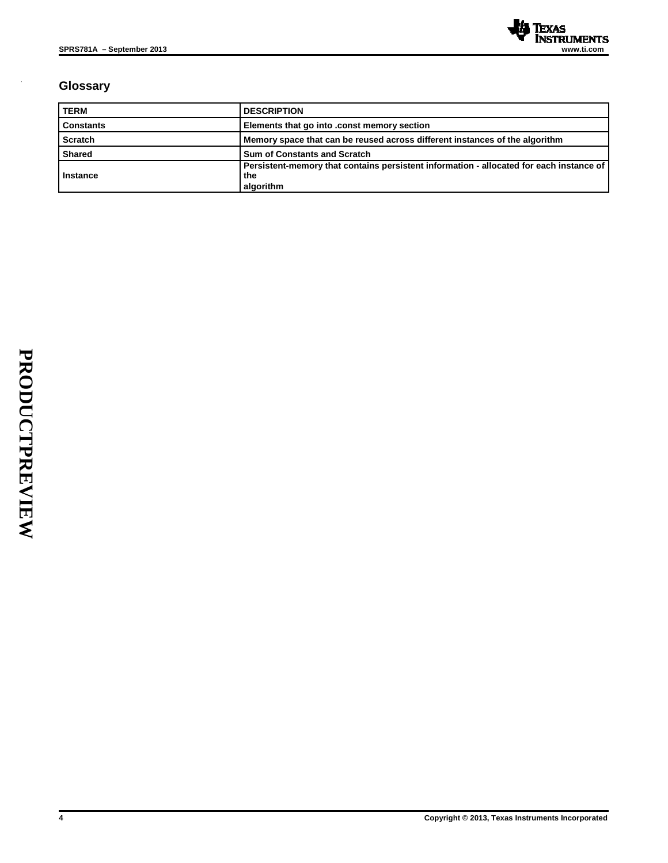

# **Glossary**

| <b>TERM</b>      | <b>DESCRIPTION</b>                                                                                          |
|------------------|-------------------------------------------------------------------------------------------------------------|
| <b>Constants</b> | Elements that go into .const memory section                                                                 |
| Scratch          | Memory space that can be reused across different instances of the algorithm                                 |
| <b>Shared</b>    | <b>Sum of Constants and Scratch</b>                                                                         |
| Instance         | Persistent-memory that contains persistent information - allocated for each instance of<br>the<br>algorithm |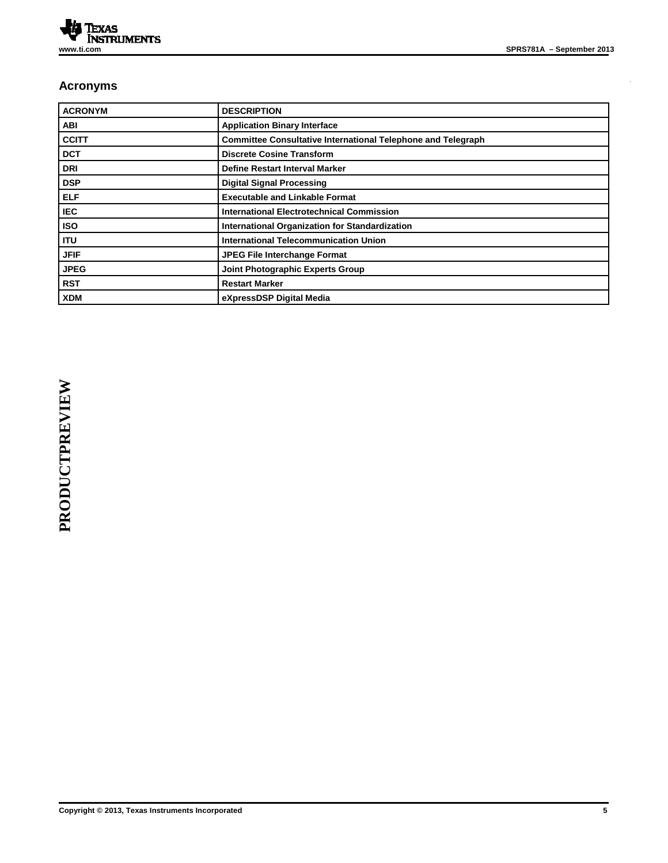l,

# **Acronyms**

| <b>ACRONYM</b> | <b>DESCRIPTION</b>                                                  |
|----------------|---------------------------------------------------------------------|
| <b>ABI</b>     | <b>Application Binary Interface</b>                                 |
| <b>CCITT</b>   | <b>Committee Consultative International Telephone and Telegraph</b> |
| <b>DCT</b>     | <b>Discrete Cosine Transform</b>                                    |
| <b>DRI</b>     | <b>Define Restart Interval Marker</b>                               |
| <b>DSP</b>     | <b>Digital Signal Processing</b>                                    |
| <b>ELF</b>     | <b>Executable and Linkable Format</b>                               |
| <b>IEC</b>     | <b>International Electrotechnical Commission</b>                    |
| <b>ISO</b>     | International Organization for Standardization                      |
| <b>ITU</b>     | <b>International Telecommunication Union</b>                        |
| <b>JFIF</b>    | <b>JPEG File Interchange Format</b>                                 |
| <b>JPEG</b>    | Joint Photographic Experts Group                                    |
| <b>RST</b>     | <b>Restart Marker</b>                                               |
| <b>XDM</b>     | eXpressDSP Digital Media                                            |